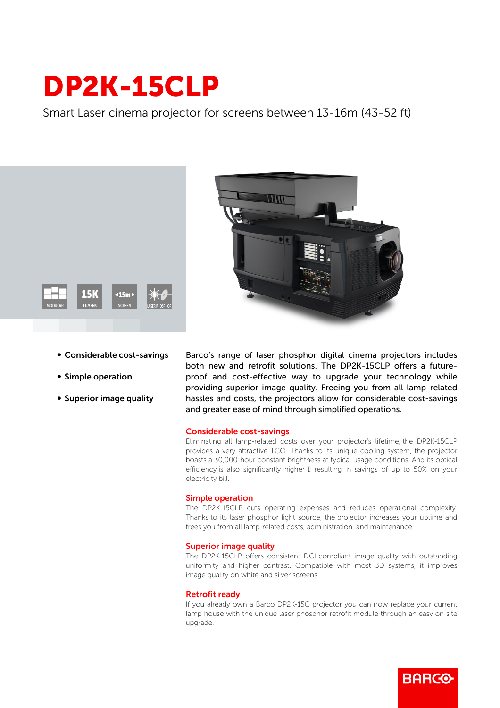# DP2K-15CLP

Smart Laser cinema projector for screens between 13-16m (43-52 ft)





- Considerable cost-savings
- Simple operation
- Superior image quality

Barco's range of laser phosphor digital cinema projectors includes both new and retrofit solutions. The DP2K-15CLP offers a futureproof and cost-effective way to upgrade your technology while providing superior image quality. Freeing you from all lamp-related hassles and costs, the projectors allow for considerable cost-savings and greater ease of mind through simplified operations.

#### Considerable cost-savings

Eliminating all lamp-related costs over your projector's lifetime, the DP2K-15CLP provides a very attractive TCO. Thanks to its unique cooling system, the projector boasts a 30,000-hour constant brightness at typical usage conditions. And its optical efficiency is also significantly higher I resulting in savings of up to 50% on your electricity bill.

## Simple operation

The DP2K-15CLP cuts operating expenses and reduces operational complexity. Thanks to its laser phosphor light source, the projector increases your uptime and frees you from all lamp-related costs, administration, and maintenance.

## Superior image quality

The DP2K-15CLP offers consistent DCI-compliant image quality with outstanding uniformity and higher contrast. Compatible with most 3D systems, it improves image quality on white and silver screens.

## Retrofit ready

If you already own a Barco DP2K-15C projector you can now replace your current lamp house with the unique laser phosphor retrofit module through an easy on-site upgrade.

**BARCO**